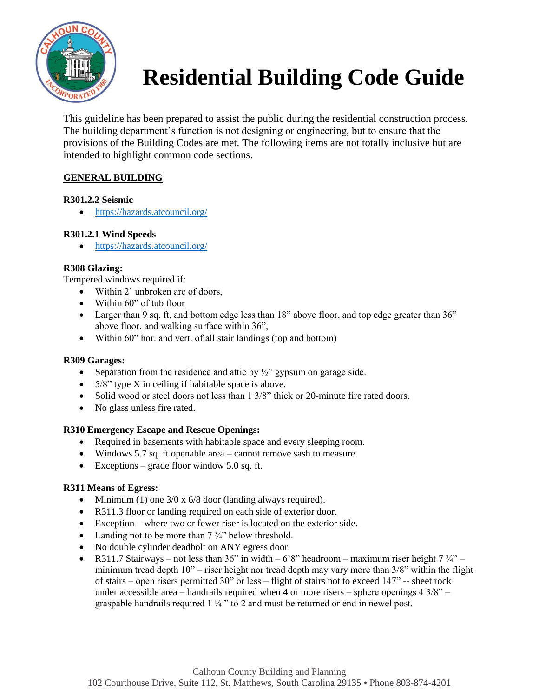

# **Residential Building Code Guide**

This guideline has been prepared to assist the public during the residential construction process. The building department's function is not designing or engineering, but to ensure that the provisions of the Building Codes are met. The following items are not totally inclusive but are intended to highlight common code sections.

# **GENERAL BUILDING**

## **R301.2.2 Seismic**

• <https://hazards.atcouncil.org/>

## **R301.2.1 Wind Speeds**

• <https://hazards.atcouncil.org/>

## **R308 Glazing:**

Tempered windows required if:

- Within 2' unbroken arc of doors,
- Within 60" of tub floor
- Larger than 9 sq. ft, and bottom edge less than 18" above floor, and top edge greater than 36" above floor, and walking surface within 36",
- Within 60" hor. and vert. of all stair landings (top and bottom)

## **R309 Garages:**

- Separation from the residence and attic by  $\frac{1}{2}$ " gypsum on garage side.
- $5/8$ " type X in ceiling if habitable space is above.
- Solid wood or steel doors not less than 1 3/8" thick or 20-minute fire rated doors.
- No glass unless fire rated.

## **R310 Emergency Escape and Rescue Openings:**

- Required in basements with habitable space and every sleeping room.
- Windows 5.7 sq. ft openable area cannot remove sash to measure.
- Exceptions grade floor window 5.0 sq. ft.

## **R311 Means of Egress:**

- Minimum (1) one  $3/0 \times 6/8$  door (landing always required).
- R311.3 floor or landing required on each side of exterior door.
- Exception where two or fewer riser is located on the exterior side.
- Landing not to be more than  $7\frac{3}{4}$  below threshold.
- No double cylinder deadbolt on ANY egress door.
- R311.7 Stairways not less than 36" in width 6'8" headroom maximum riser height  $7\frac{3}{4}$ " minimum tread depth  $10"$  – riser height nor tread depth may vary more than  $3/8"$  within the flight of stairs – open risers permitted 30" or less – flight of stairs not to exceed 147" -- sheet rock under accessible area – handrails required when 4 or more risers – sphere openings  $4 \frac{3}{8}$  – graspable handrails required 1 ¼ " to 2 and must be returned or end in newel post.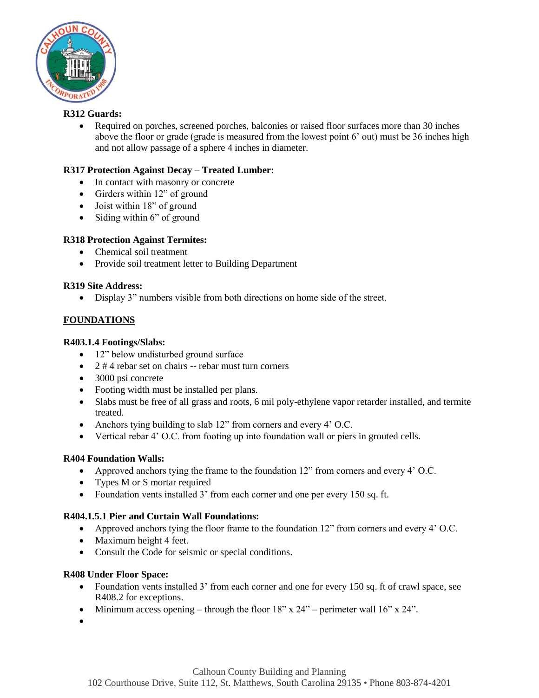

## **R312 Guards:**

• Required on porches, screened porches, balconies or raised floor surfaces more than 30 inches above the floor or grade (grade is measured from the lowest point 6' out) must be 36 inches high and not allow passage of a sphere 4 inches in diameter.

## **R317 Protection Against Decay – Treated Lumber:**

- In contact with masonry or concrete
- Girders within 12" of ground
- Joist within 18" of ground
- Siding within 6" of ground

## **R318 Protection Against Termites:**

- Chemical soil treatment
- Provide soil treatment letter to Building Department

## **R319 Site Address:**

• Display 3" numbers visible from both directions on home side of the street.

## **FOUNDATIONS**

## **R403.1.4 Footings/Slabs:**

- 12" below undisturbed ground surface
- 2 # 4 rebar set on chairs -- rebar must turn corners
- 3000 psi concrete
- Footing width must be installed per plans.
- Slabs must be free of all grass and roots, 6 mil poly-ethylene vapor retarder installed, and termite treated.
- Anchors tying building to slab 12" from corners and every 4' O.C.
- Vertical rebar 4' O.C. from footing up into foundation wall or piers in grouted cells.

## **R404 Foundation Walls:**

- Approved anchors tying the frame to the foundation 12" from corners and every 4' O.C.
- Types M or S mortar required
- Foundation vents installed 3' from each corner and one per every 150 sq. ft.

## **R404.1.5.1 Pier and Curtain Wall Foundations:**

- Approved anchors tying the floor frame to the foundation 12" from corners and every 4' O.C.
- Maximum height 4 feet.
- Consult the Code for seismic or special conditions.

## **R408 Under Floor Space:**

- Foundation vents installed 3' from each corner and one for every 150 sq. ft of crawl space, see R408.2 for exceptions.
- Minimum access opening through the floor  $18"$  x  $24"$  perimeter wall  $16"$  x  $24"$ .
- •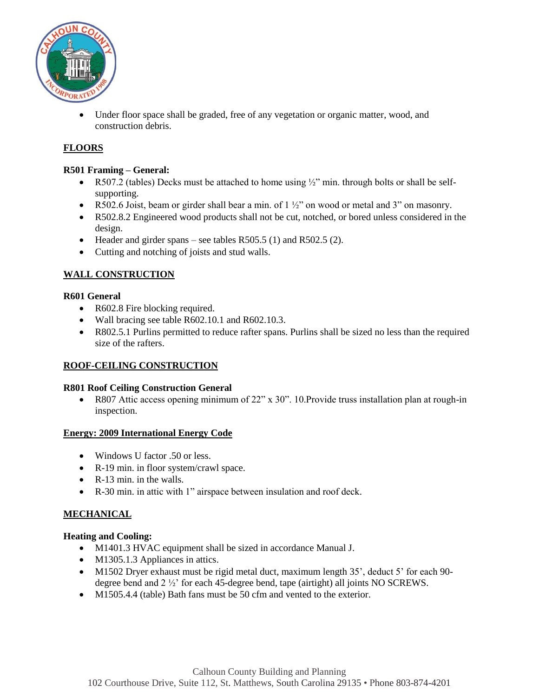

• Under floor space shall be graded, free of any vegetation or organic matter, wood, and construction debris.

# **FLOORS**

#### **R501 Framing – General:**

- R507.2 (tables) Decks must be attached to home using  $\frac{1}{2}$ " min. through bolts or shall be selfsupporting.
- R502.6 Joist, beam or girder shall bear a min. of  $1 \frac{1}{2}$  on wood or metal and 3" on masonry.
- R502.8.2 Engineered wood products shall not be cut, notched, or bored unless considered in the design.
- Header and girder spans see tables R505.5 (1) and R502.5 (2).
- Cutting and notching of joists and stud walls.

## **WALL CONSTRUCTION**

#### **R601 General**

- R602.8 Fire blocking required.
- Wall bracing see table R602.10.1 and R602.10.3.
- R802.5.1 Purlins permitted to reduce rafter spans. Purlins shall be sized no less than the required size of the rafters.

## **ROOF-CEILING CONSTRUCTION**

#### **R801 Roof Ceiling Construction General**

• R807 Attic access opening minimum of 22" x 30". 10.Provide truss installation plan at rough-in inspection.

#### **Energy: 2009 International Energy Code**

- Windows U factor .50 or less.
- R-19 min. in floor system/crawl space.
- R-13 min. in the walls.
- R-30 min. in attic with 1" airspace between insulation and roof deck.

## **MECHANICAL**

#### **Heating and Cooling:**

- M1401.3 HVAC equipment shall be sized in accordance Manual J.
- M1305.1.3 Appliances in attics.
- M1502 Dryer exhaust must be rigid metal duct, maximum length 35', deduct 5' for each 90degree bend and 2 ½' for each 45-degree bend, tape (airtight) all joints NO SCREWS.
- M1505.4.4 (table) Bath fans must be 50 cfm and vented to the exterior.